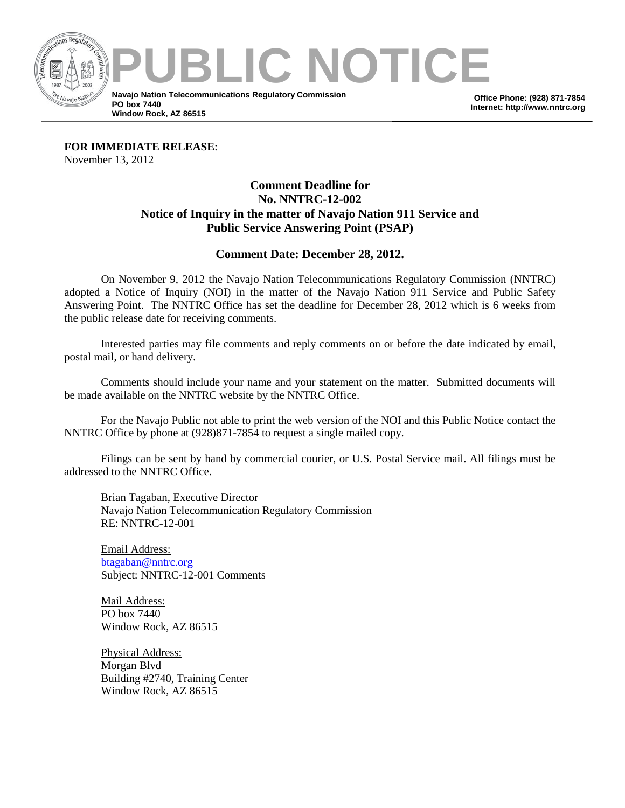

**Office Phone: (928) 871-7854 Internet: http://www.nntrc.org**

**FOR IMMEDIATE RELEASE**: November 13, 2012

## **Comment Deadline for No. NNTRC-12-002 Notice of Inquiry in the matter of Navajo Nation 911 Service and Public Service Answering Point (PSAP)**

## **Comment Date: December 28, 2012.**

On November 9, 2012 the Navajo Nation Telecommunications Regulatory Commission (NNTRC) adopted a Notice of Inquiry (NOI) in the matter of the Navajo Nation 911 Service and Public Safety Answering Point. The NNTRC Office has set the deadline for December 28, 2012 which is 6 weeks from the public release date for receiving comments.

Interested parties may file comments and reply comments on or before the date indicated by email, postal mail, or hand delivery.

Comments should include your name and your statement on the matter. Submitted documents will be made available on the NNTRC website by the NNTRC Office.

For the Navajo Public not able to print the web version of the NOI and this Public Notice contact the NNTRC Office by phone at (928)871-7854 to request a single mailed copy.

Filings can be sent by hand by commercial courier, or U.S. Postal Service mail. All filings must be addressed to the NNTRC Office.

Brian Tagaban, Executive Director Navajo Nation Telecommunication Regulatory Commission RE: NNTRC-12-001

Email Address: [btagaban@nntrc.org](mailto:btagaban@nntrc.org) Subject: NNTRC-12-001 Comments

Mail Address: PO box 7440 Window Rock, AZ 86515

Physical Address: Morgan Blvd Building #2740, Training Center Window Rock, AZ 86515